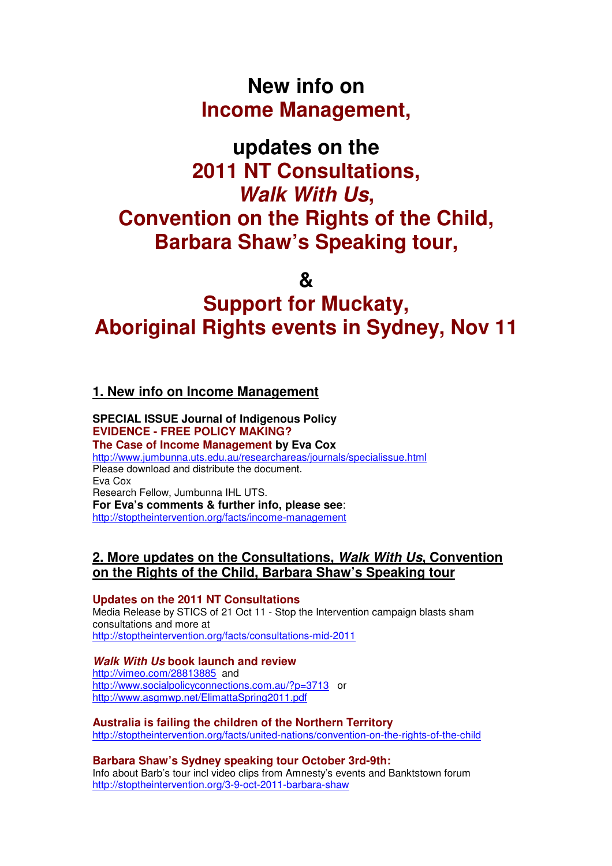## **New info on Income Management,**

# **updates on the 2011 NT Consultations, Walk With Us, Convention on the Rights of the Child, Barbara Shaw's Speaking tour,**

**&** 

# **Support for Muckaty, Aboriginal Rights events in Sydney, Nov 11**

## **1. New info on Income Management**

#### **SPECIAL ISSUE Journal of Indigenous Policy EVIDENCE - FREE POLICY MAKING? The Case of Income Management by Eva Cox**  http://www.jumbunna.uts.edu.au/researchareas/journals/specialissue.html Please download and distribute the document. Eva Cox Research Fellow, Jumbunna IHL UTS. **For Eva's comments & further info, please see**: http://stoptheintervention.org/facts/income-management

## **2. More updates on the Consultations, Walk With Us, Convention on the Rights of the Child, Barbara Shaw's Speaking tour**

### **Updates on the 2011 NT Consultations**

Media Release by STICS of 21 Oct 11 - Stop the Intervention campaign blasts sham consultations and more at http://stoptheintervention.org/facts/consultations-mid-2011

## **Walk With Us book launch and review**

http://vimeo.com/28813885 and http://www.socialpolicyconnections.com.au/?p=3713 or http://www.asgmwp.net/ElimattaSpring2011.pdf

## **Australia is failing the children of the Northern Territory** http://stoptheintervention.org/facts/united-nations/convention-on-the-rights-of-the-child

**Barbara Shaw's Sydney speaking tour October 3rd-9th:**  Info about Barb's tour incl video clips from Amnesty's events and Banktstown forum http://stoptheintervention.org/3-9-oct-2011-barbara-shaw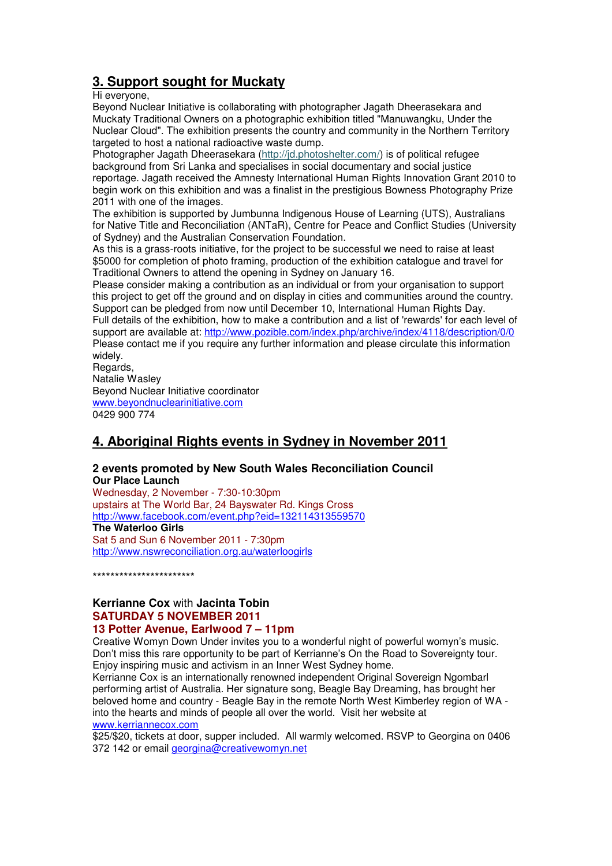## **3. Support sought for Muckaty**

Hi everyone,

Beyond Nuclear Initiative is collaborating with photographer Jagath Dheerasekara and Muckaty Traditional Owners on a photographic exhibition titled "Manuwangku, Under the Nuclear Cloud". The exhibition presents the country and community in the Northern Territory targeted to host a national radioactive waste dump.

Photographer Jagath Dheerasekara (http://jd.photoshelter.com/) is of political refugee background from Sri Lanka and specialises in social documentary and social justice reportage. Jagath received the Amnesty International Human Rights Innovation Grant 2010 to begin work on this exhibition and was a finalist in the prestigious Bowness Photography Prize 2011 with one of the images.

The exhibition is supported by Jumbunna Indigenous House of Learning (UTS), Australians for Native Title and Reconciliation (ANTaR), Centre for Peace and Conflict Studies (University of Sydney) and the Australian Conservation Foundation.

As this is a grass-roots initiative, for the project to be successful we need to raise at least \$5000 for completion of photo framing, production of the exhibition catalogue and travel for Traditional Owners to attend the opening in Sydney on January 16.

Please consider making a contribution as an individual or from your organisation to support this project to get off the ground and on display in cities and communities around the country. Support can be pledged from now until December 10, International Human Rights Day. Full details of the exhibition, how to make a contribution and a list of 'rewards' for each level of support are available at: http://www.pozible.com/index.php/archive/index/4118/description/0/0 Please contact me if you require any further information and please circulate this information widely.

Regards. Natalie Wasley Beyond Nuclear Initiative coordinator www.beyondnuclearinitiative.com 0429 900 774

## **4. Aboriginal Rights events in Sydney in November 2011**

#### **2 events promoted by New South Wales Reconciliation Council Our Place Launch**

Wednesday, 2 November - 7:30-10:30pm upstairs at The World Bar, 24 Bayswater Rd. Kings Cross http://www.facebook.com/event.php?eid=132114313559570 **The Waterloo Girls**  Sat 5 and Sun 6 November 2011 - 7:30pm http://www.nswreconciliation.org.au/waterloogirls

\*\*\*\*\*\*\*\*\*\*\*\*\*\*\*\*\*\*\*\*\*\*\*

## **Kerrianne Cox** with **Jacinta Tobin SATURDAY 5 NOVEMBER 2011**

## **13 Potter Avenue, Earlwood 7 – 11pm**

Creative Womyn Down Under invites you to a wonderful night of powerful womyn's music. Don't miss this rare opportunity to be part of Kerrianne's On the Road to Sovereignty tour. Enjoy inspiring music and activism in an Inner West Sydney home.

Kerrianne Cox is an internationally renowned independent Original Sovereign Ngombarl performing artist of Australia. Her signature song, Beagle Bay Dreaming, has brought her beloved home and country - Beagle Bay in the remote North West Kimberley region of WA into the hearts and minds of people all over the world. Visit her website at www.kerriannecox.com

\$25/\$20, tickets at door, supper included. All warmly welcomed. RSVP to Georgina on 0406 372 142 or email georgina@creativewomyn.net